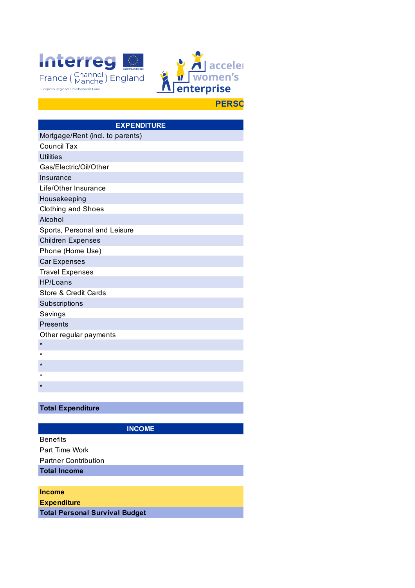



| <b>EXPENDITURE</b>               |  |  |
|----------------------------------|--|--|
| Mortgage/Rent (incl. to parents) |  |  |
| <b>Council Tax</b>               |  |  |
| <b>Utilities</b>                 |  |  |
| Gas/Electric/Oil/Other           |  |  |
| Insurance                        |  |  |
| Life/Other Insurance             |  |  |
| Housekeeping                     |  |  |
| <b>Clothing and Shoes</b>        |  |  |
| Alcohol                          |  |  |
| Sports, Personal and Leisure     |  |  |
| <b>Children Expenses</b>         |  |  |
| Phone (Home Use)                 |  |  |
| <b>Car Expenses</b>              |  |  |
| <b>Travel Expenses</b>           |  |  |
| HP/Loans                         |  |  |
| Store & Credit Cards             |  |  |
| Subscriptions                    |  |  |
| Savings                          |  |  |
| Presents                         |  |  |
| Other regular payments           |  |  |
| $\star$                          |  |  |
| $\star$                          |  |  |
| $^\star$                         |  |  |
| $\star$                          |  |  |
| $\star$                          |  |  |
|                                  |  |  |

## **Total Expenditure**

**INCOME**

| <b>Benefits</b>                       |
|---------------------------------------|
| Part Time Work                        |
| <b>Partner Contribution</b>           |
| <b>Total Income</b>                   |
|                                       |
| <b>Income</b>                         |
| <b>Expenditure</b>                    |
| <b>Total Personal Survival Budget</b> |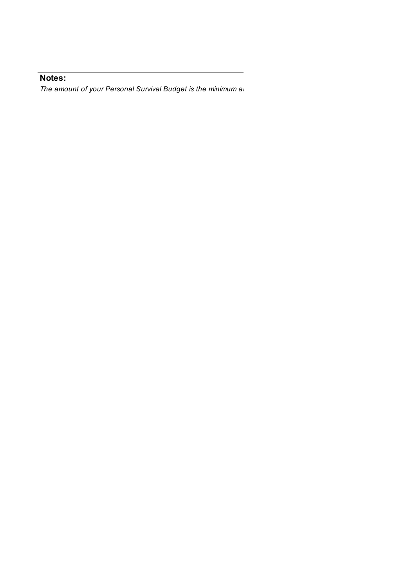## **Notes:**

*The amount of your Personal Survival Budget is the minimum and mount of your Personal Survival Budget is the minimum and the amount stra*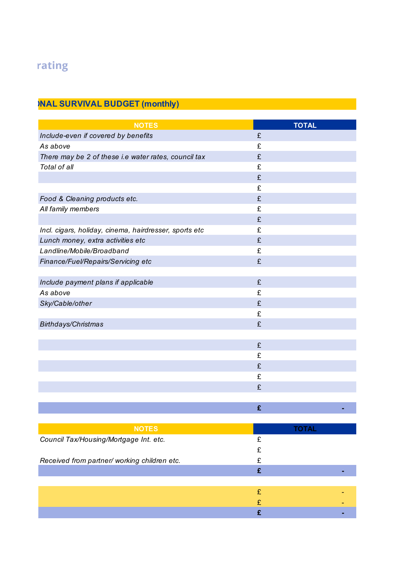## rating

## **PERSONAL SURVIVAL BUDGET (monthly)**

| <b>NOTES</b>                                           | <b>TOTAL</b> |
|--------------------------------------------------------|--------------|
| Include-even if covered by benefits                    | £            |
| As above                                               | £            |
| There may be 2 of these i.e water rates, council tax   | £            |
| Total of all                                           | £            |
|                                                        | £            |
|                                                        | £            |
| Food & Cleaning products etc.                          | £            |
| All family members                                     | £            |
|                                                        | £            |
| Incl. cigars, holiday, cinema, hairdresser, sports etc | £            |
| Lunch money, extra activities etc                      | £            |
| Landline/Mobile/Broadband                              | £            |
| Finance/Fuel/Repairs/Servicing etc                     | £            |
|                                                        |              |
| Include payment plans if applicable                    | £            |
| As above                                               | £            |
| Sky/Cable/other                                        | £            |
|                                                        | £            |
| Birthdays/Christmas                                    | £            |
|                                                        |              |
|                                                        | £            |
|                                                        | £            |
|                                                        | £            |
|                                                        | £            |
|                                                        | £            |
|                                                        |              |
|                                                        | £            |
|                                                        |              |
| <b>NOTES</b>                                           | <b>TOTAL</b> |
| Council Tax/Housing/Mortgage Int. etc.                 | £            |
|                                                        | £            |
| Received from partner/ working children etc.           | £            |
|                                                        | £            |